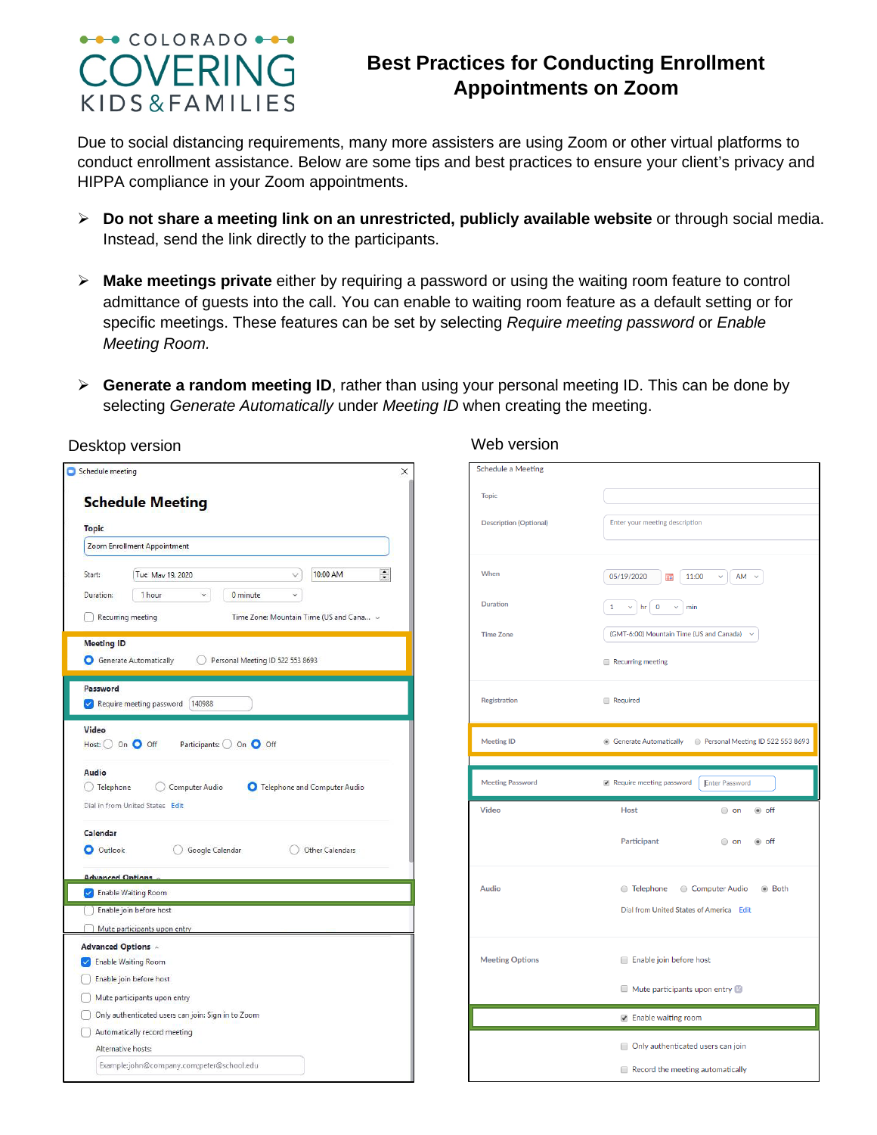## $\rightarrow\rightarrow$  COLORADO  $\rightarrow\rightarrow$ OVERING KIDS&FAMILIES

## **Best Practices for Conducting Enrollment Appointments on Zoom**

Due to social distancing requirements, many more assisters are using Zoom or other virtual platforms to conduct enrollment assistance. Below are some tips and best practices to ensure your client's privacy and HIPPA compliance in your Zoom appointments.

- **Do not share a meeting link on an unrestricted, publicly available website** or through social media. Instead, send the link directly to the participants.
- **Make meetings private** either by requiring a password or using the waiting room feature to control admittance of guests into the call. You can enable to waiting room feature as a default setting or for specific meetings. These features can be set by selecting *Require meeting password* or *Enable Meeting Room.*
- **Generate a random meeting ID**, rather than using your personal meeting ID. This can be done by selecting *Generate Automatically* under *Meeting ID* when creating the meeting.

| $\frac{1}{\tau}$<br>10:00 AM<br>$\vee$<br>0 minute<br>v<br>Time Zone: Mountain Time (US and Cana v<br>Personal Meeting ID 522 553 8693 |
|----------------------------------------------------------------------------------------------------------------------------------------|
|                                                                                                                                        |
|                                                                                                                                        |
|                                                                                                                                        |
|                                                                                                                                        |
|                                                                                                                                        |
|                                                                                                                                        |
|                                                                                                                                        |
|                                                                                                                                        |
|                                                                                                                                        |
|                                                                                                                                        |
|                                                                                                                                        |
| Google Calendar<br>Other Calendars                                                                                                     |
|                                                                                                                                        |
|                                                                                                                                        |
|                                                                                                                                        |
|                                                                                                                                        |
|                                                                                                                                        |
|                                                                                                                                        |
|                                                                                                                                        |
|                                                                                                                                        |
|                                                                                                                                        |
| Participants: O On O Off                                                                                                               |

| <b>Schedule a Meeting</b>              |                                                                                                                                                                        |  |  |  |  |
|----------------------------------------|------------------------------------------------------------------------------------------------------------------------------------------------------------------------|--|--|--|--|
| <b>Topic</b>                           | Enter your meeting description                                                                                                                                         |  |  |  |  |
| <b>Description (Optional)</b>          |                                                                                                                                                                        |  |  |  |  |
| When                                   | 05/19/2020<br>11:00<br>▦<br>$\checkmark$<br>AM                                                                                                                         |  |  |  |  |
| <b>Duration</b>                        | $\overline{\mathbf{0}}$<br>$\mathbf{1}$<br>hr<br>min<br>v<br>$\checkmark$<br>(GMT-6:00) Mountain Time (US and Canada)<br>$\checkmark$<br>Recurring meeting<br>Required |  |  |  |  |
| <b>Time Zone</b>                       |                                                                                                                                                                        |  |  |  |  |
|                                        |                                                                                                                                                                        |  |  |  |  |
| Registration                           |                                                                                                                                                                        |  |  |  |  |
| <b>Meeting ID</b>                      | Personal Meeting ID 522 553 8693<br><b>Generate Automatically</b>                                                                                                      |  |  |  |  |
| <b>Meeting Password</b>                | Require meeting password<br><b>Enter Password</b>                                                                                                                      |  |  |  |  |
| <b>Video</b>                           | <b>Host</b><br>◉ off<br>$\circ$ on                                                                                                                                     |  |  |  |  |
|                                        | Participant<br>$\circ$ on<br>◉ off                                                                                                                                     |  |  |  |  |
|                                        |                                                                                                                                                                        |  |  |  |  |
|                                        | ◯ Telephone ◯ Computer Audio<br>◉ Both                                                                                                                                 |  |  |  |  |
|                                        | Dial from United States of America Edit                                                                                                                                |  |  |  |  |
|                                        | Enable join before host                                                                                                                                                |  |  |  |  |
|                                        | Mute participants upon entry                                                                                                                                           |  |  |  |  |
| <b>Audio</b><br><b>Meeting Options</b> | ■ Enable waiting room                                                                                                                                                  |  |  |  |  |
|                                        | Only authenticated users can join                                                                                                                                      |  |  |  |  |

Desktop version and the contract of the Web version